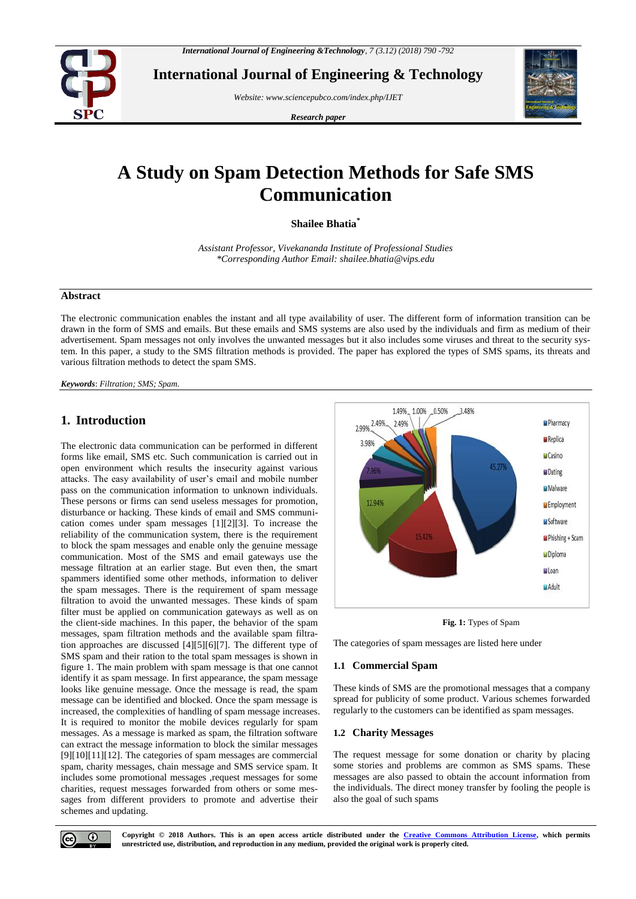

**International Journal of Engineering & Technology**

*Website: www.sciencepubco.com/index.php/IJET*

*Research paper*



# **A Study on Spam Detection Methods for Safe SMS Communication**

**Shailee Bhatia\***

*Assistant Professor, Vivekananda Institute of Professional Studies \*Corresponding Author Email: [shailee.bhatia@vips.edu](mailto:shailee.bhatia@vips.edu)*

#### **Abstract**

The electronic communication enables the instant and all type availability of user. The different form of information transition can be drawn in the form of SMS and emails. But these emails and SMS systems are also used by the individuals and firm as medium of their advertisement. Spam messages not only involves the unwanted messages but it also includes some viruses and threat to the security system. In this paper, a study to the SMS filtration methods is provided. The paper has explored the types of SMS spams, its threats and various filtration methods to detect the spam SMS.

*Keywords*: *Filtration; SMS; Spam.*

## **1. Introduction**

The electronic data communication can be performed in different forms like email, SMS etc. Such communication is carried out in open environment which results the insecurity against various attacks. The easy availability of user's email and mobile number pass on the communication information to unknown individuals. These persons or firms can send useless messages for promotion, disturbance or hacking. These kinds of email and SMS communication comes under spam messages [1][2][3]. To increase the reliability of the communication system, there is the requirement to block the spam messages and enable only the genuine message communication. Most of the SMS and email gateways use the message filtration at an earlier stage. But even then, the smart spammers identified some other methods, information to deliver the spam messages. There is the requirement of spam message filtration to avoid the unwanted messages. These kinds of spam filter must be applied on communication gateways as well as on the client-side machines. In this paper, the behavior of the spam messages, spam filtration methods and the available spam filtration approaches are discussed [4][5][6][7]. The different type of SMS spam and their ration to the total spam messages is shown in figure 1. The main problem with spam message is that one cannot identify it as spam message. In first appearance, the spam message looks like genuine message. Once the message is read, the spam message can be identified and blocked. Once the spam message is increased, the complexities of handling of spam message increases. It is required to monitor the mobile devices regularly for spam messages. As a message is marked as spam, the filtration software can extract the message information to block the similar messages [9][10][11][12]. The categories of spam messages are commercial spam, charity messages, chain message and SMS service spam. It includes some promotional messages ,request messages for some charities, request messages forwarded from others or some messages from different providers to promote and advertise their schemes and updating.



**Fig. 1:** Types of Spam

The categories of spam messages are listed here under

#### **1.1 Commercial Spam**

These kinds of SMS are the promotional messages that a company spread for publicity of some product. Various schemes forwarded regularly to the customers can be identified as spam messages.

#### **1.2 Charity Messages**

The request message for some donation or charity by placing some stories and problems are common as SMS spams. These messages are also passed to obtain the account information from the individuals. The direct money transfer by fooling the people is also the goal of such spams

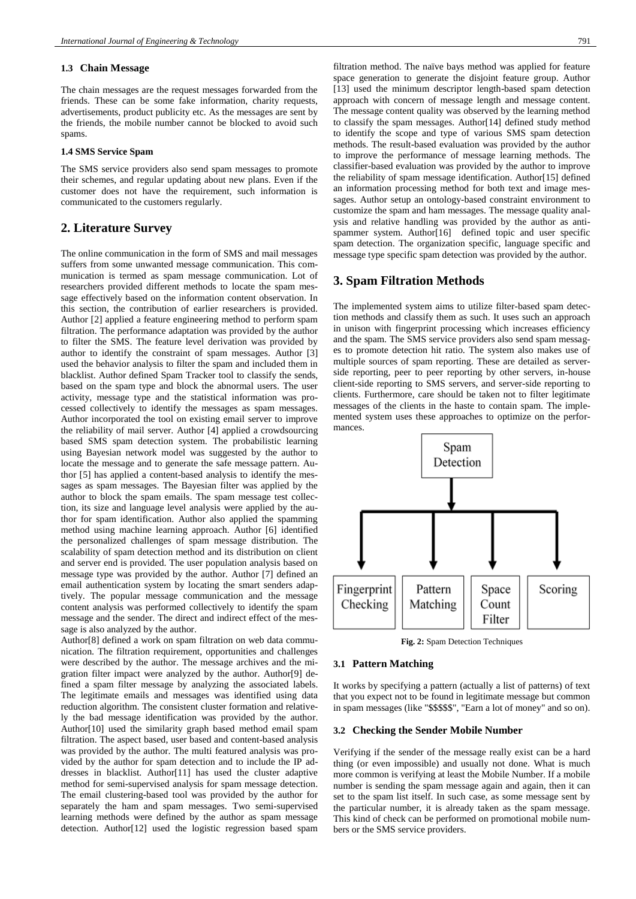#### **1.3 Chain Message**

The chain messages are the request messages forwarded from the friends. These can be some fake information, charity requests, advertisements, product publicity etc. As the messages are sent by the friends, the mobile number cannot be blocked to avoid such spams.

#### **1.4 SMS Service Spam**

The SMS service providers also send spam messages to promote their schemes, and regular updating about new plans. Even if the customer does not have the requirement, such information is communicated to the customers regularly.

## **2. Literature Survey**

The online communication in the form of SMS and mail messages suffers from some unwanted message communication. This communication is termed as spam message communication. Lot of researchers provided different methods to locate the spam message effectively based on the information content observation. In this section, the contribution of earlier researchers is provided. Author [2] applied a feature engineering method to perform spam filtration. The performance adaptation was provided by the author to filter the SMS. The feature level derivation was provided by author to identify the constraint of spam messages. Author [3] used the behavior analysis to filter the spam and included them in blacklist. Author defined Spam Tracker tool to classify the sends, based on the spam type and block the abnormal users. The user activity, message type and the statistical information was processed collectively to identify the messages as spam messages. Author incorporated the tool on existing email server to improve the reliability of mail server. Author [4] applied a crowdsourcing based SMS spam detection system. The probabilistic learning using Bayesian network model was suggested by the author to locate the message and to generate the safe message pattern. Author [5] has applied a content-based analysis to identify the messages as spam messages. The Bayesian filter was applied by the author to block the spam emails. The spam message test collection, its size and language level analysis were applied by the author for spam identification. Author also applied the spamming method using machine learning approach. Author [6] identified the personalized challenges of spam message distribution. The scalability of spam detection method and its distribution on client and server end is provided. The user population analysis based on message type was provided by the author. Author [7] defined an email authentication system by locating the smart senders adaptively. The popular message communication and the message content analysis was performed collectively to identify the spam message and the sender. The direct and indirect effect of the message is also analyzed by the author.

Author[8] defined a work on spam filtration on web data communication. The filtration requirement, opportunities and challenges were described by the author. The message archives and the migration filter impact were analyzed by the author. Author[9] defined a spam filter message by analyzing the associated labels. The legitimate emails and messages was identified using data reduction algorithm. The consistent cluster formation and relatively the bad message identification was provided by the author. Author[10] used the similarity graph based method email spam filtration. The aspect based, user based and content-based analysis was provided by the author. The multi featured analysis was provided by the author for spam detection and to include the IP addresses in blacklist. Author[11] has used the cluster adaptive method for semi-supervised analysis for spam message detection. The email clustering-based tool was provided by the author for separately the ham and spam messages. Two semi-supervised learning methods were defined by the author as spam message detection. Author[12] used the logistic regression based spam

filtration method. The naïve bays method was applied for feature space generation to generate the disjoint feature group. Author [13] used the minimum descriptor length-based spam detection approach with concern of message length and message content. The message content quality was observed by the learning method to classify the spam messages. Author[14] defined study method to identify the scope and type of various SMS spam detection methods. The result-based evaluation was provided by the author to improve the performance of message learning methods. The classifier-based evaluation was provided by the author to improve the reliability of spam message identification. Author[15] defined an information processing method for both text and image messages. Author setup an ontology-based constraint environment to customize the spam and ham messages. The message quality analysis and relative handling was provided by the author as antispammer system. Author[16] defined topic and user specific spam detection. The organization specific, language specific and message type specific spam detection was provided by the author.

## **3. Spam Filtration Methods**

The implemented system aims to utilize filter-based spam detection methods and classify them as such. It uses such an approach in unison with fingerprint processing which increases efficiency and the spam. The SMS service providers also send spam messages to promote detection hit ratio. The system also makes use of multiple sources of spam reporting. These are detailed as serverside reporting, peer to peer reporting by other servers, in-house client-side reporting to SMS servers, and server-side reporting to clients. Furthermore, care should be taken not to filter legitimate messages of the clients in the haste to contain spam. The implemented system uses these approaches to optimize on the performances.



**Fig. 2:** Spam Detection Techniques

#### **3.1 Pattern Matching**

It works by specifying a pattern (actually a list of patterns) of text that you expect not to be found in legitimate message but common in spam messages (like "\$\$\$\$\$", "Earn a lot of money" and so on).

#### **3.2 Checking the Sender Mobile Number**

Verifying if the sender of the message really exist can be a hard thing (or even impossible) and usually not done. What is much more common is verifying at least the Mobile Number. If a mobile number is sending the spam message again and again, then it can set to the spam list itself. In such case, as some message sent by the particular number, it is already taken as the spam message. This kind of check can be performed on promotional mobile numbers or the SMS service providers.